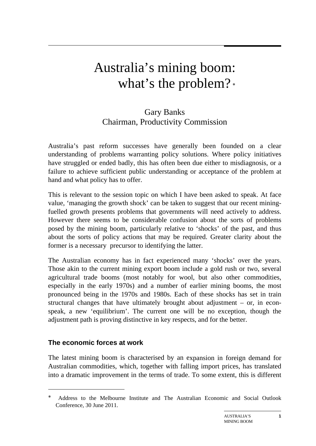# Australia's mining boom: what's the problem?

# Gary Banks Chairman, Productivity Commission

Australia's past reform successes have generally been founded on a clear understanding of problems warranting policy solutions. Where policy initiatives have struggled or ended badly, this has often been due either to misdiagnosis, or a failure to achieve sufficient public understanding or acceptance of the problem at hand and what policy has to offer.

This is relevant to the session topic on which I have been asked to speak. At face value, 'managing the growth shock' can be taken to suggest that our recent miningfuelled growth presents problems that governments will need actively to address. However there seems to be considerable confusion about the sorts of problems posed by the mining boom, particularly relative to 'shocks' of the past, and thus about the sorts of policy actions that may be required. Greater clarity about the former is a necessary precursor to identifying the latter.

The Australian economy has in fact experienced many 'shocks' over the years. Those akin to the current mining export boom include a gold rush or two, several agricultural trade booms (most notably for wool, but also other commodities, especially in the early 1970s) and a number of earlier mining booms, the most pronounced being in the 1970s and 1980s. Each of these shocks has set in train structural changes that have ultimately brought about adjustment – or, in econspeak, a new 'equilibrium'. The current one will be no exception, though the adjustment path is proving distinctive in key respects, and for the better.

#### **The economic forces at work**

 $\overline{a}$ 

The latest mining boom is characterised by an expansion in foreign demand for Australian commodities, which, together with falling import prices, has translated into a dramatic improvement in the terms of trade. To some extent, this is different

<span id="page-0-0"></span>Address to the Melbourne Institute and The Australian Economic and Social Outlook Conference, 30 June 2011.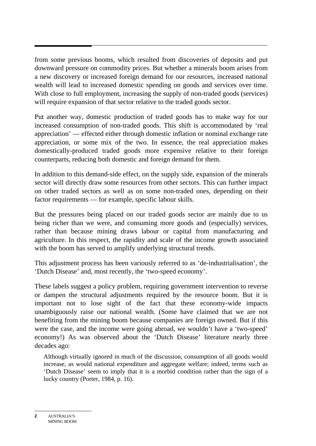from some previous booms, which resulted from discoveries of deposits and put downward pressure on commodity prices. But whether a minerals boom arises from a new discovery or increased foreign demand for our resources, increased national wealth will lead to increased domestic spending on goods and services over time. With close to full employment, increasing the supply of non-traded goods (services) will require expansion of that sector relative to the traded goods sector.

Put another way, domestic production of traded goods has to make way for our increased consumption of non-traded goods. This shift is accommodated by 'real appreciation' — effected either through domestic inflation or nominal exchange rate appreciation, or some mix of the two. In essence, the real appreciation makes domestically-produced traded goods more expensive relative to their foreign counterparts, reducing both domestic and foreign demand for them.

In addition to this demand-side effect, on the supply side, expansion of the minerals sector will directly draw some resources from other sectors. This can further impact on other traded sectors as well as on some non-traded ones, depending on their factor requirements — for example, specific labour skills.

But the pressures being placed on our traded goods sector are mainly due to us being richer than we were, and consuming more goods and (especially) services, rather than because mining draws labour or capital from manufacturing and agriculture. In this respect, the rapidity and scale of the income growth associated with the boom has served to amplify underlying structural trends.

This adjustment process has been variously referred to as 'de-industrialisation', the 'Dutch Disease' and, most recently, the 'two-speed economy'.

These labels suggest a policy problem, requiring government intervention to reverse or dampen the structural adjustments required by the resource boom. But it is important not to lose sight of the fact that these economy-wide impacts unambiguously raise our national wealth. (Some have claimed that we are not benefiting from the mining boom because companies are foreign owned. But if this were the case, and the income were going abroad, we wouldn't have a 'two-speed' economy!) As was observed about the 'Dutch Disease' literature nearly three decades ago:

Although virtually ignored in much of the discussion, consumption of all goods would increase, as would national expenditure and aggregate welfare; indeed, terms such as 'Dutch Disease' seem to imply that it is a morbid condition rather than the sign of a lucky country (Porter, 1984, p. 16).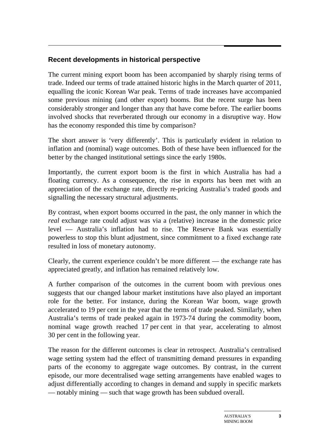# **Recent developments in historical perspective**

The current mining export boom has been accompanied by sharply rising terms of trade. Indeed our terms of trade attained historic highs in the March quarter of 2011, equalling the iconic Korean War peak. Terms of trade increases have accompanied some previous mining (and other export) booms. But the recent surge has been considerably stronger and longer than any that have come before. The earlier booms involved shocks that reverberated through our economy in a disruptive way. How has the economy responded this time by comparison?

The short answer is 'very differently'. This is particularly evident in relation to inflation and (nominal) wage outcomes. Both of these have been influenced for the better by the changed institutional settings since the early 1980s.

Importantly, the current export boom is the first in which Australia has had a floating currency. As a consequence, the rise in exports has been met with an appreciation of the exchange rate, directly re-pricing Australia's traded goods and signalling the necessary structural adjustments.

By contrast, when export booms occurred in the past, the only manner in which the *real* exchange rate could adjust was via a (relative) increase in the domestic price level — Australia's inflation had to rise. The Reserve Bank was essentially powerless to stop this blunt adjustment, since commitment to a fixed exchange rate resulted in loss of monetary autonomy.

Clearly, the current experience couldn't be more different — the exchange rate has appreciated greatly, and inflation has remained relatively low.

A further comparison of the outcomes in the current boom with previous ones suggests that our changed labour market institutions have also played an important role for the better. For instance, during the Korean War boom, wage growth accelerated to 19 per cent in the year that the terms of trade peaked. Similarly, when Australia's terms of trade peaked again in 1973-74 during the commodity boom, nominal wage growth reached 17 per cent in that year, accelerating to almost 30 per cent in the following year.

The reason for the different outcomes is clear in retrospect. Australia's centralised wage setting system had the effect of transmitting demand pressures in expanding parts of the economy to aggregate wage outcomes. By contrast, in the current episode, our more decentralised wage setting arrangements have enabled wages to adjust differentially according to changes in demand and supply in specific markets — notably mining — such that wage growth has been subdued overall.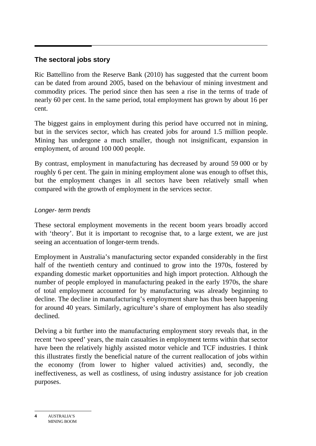#### **The sectoral jobs story**

Ric Battellino from the Reserve Bank (2010) has suggested that the current boom can be dated from around 2005, based on the behaviour of mining investment and commodity prices. The period since then has seen a rise in the terms of trade of nearly 60 per cent. In the same period, total employment has grown by about 16 per cent.

The biggest gains in employment during this period have occurred not in mining, but in the services sector, which has created jobs for around 1.5 million people. Mining has undergone a much smaller, though not insignificant, expansion in employment, of around 100 000 people.

By contrast, employment in manufacturing has decreased by around 59 000 or by roughly 6 per cent. The gain in mining employment alone was enough to offset this, but the employment changes in all sectors have been relatively small when compared with the growth of employment in the services sector.

#### *Longer- term trends*

These sectoral employment movements in the recent boom years broadly accord with 'theory'. But it is important to recognise that, to a large extent, we are just seeing an accentuation of longer-term trends.

Employment in Australia's manufacturing sector expanded considerably in the first half of the twentieth century and continued to grow into the 1970s, fostered by expanding domestic market opportunities and high import protection. Although the number of people employed in manufacturing peaked in the early 1970s, the share of total employment accounted for by manufacturing was already beginning to decline. The decline in manufacturing's employment share has thus been happening for around 40 years. Similarly, agriculture's share of employment has also steadily declined.

Delving a bit further into the manufacturing employment story reveals that, in the recent 'two speed' years, the main casualties in employment terms within that sector have been the relatively highly assisted motor vehicle and TCF industries. I think this illustrates firstly the beneficial nature of the current reallocation of jobs within the economy (from lower to higher valued activities) and, secondly, the ineffectiveness, as well as costliness, of using industry assistance for job creation purposes.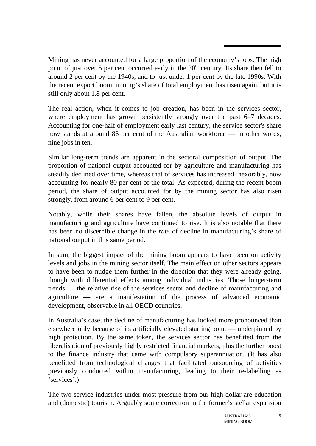Mining has never accounted for a large proportion of the economy's jobs. The high point of just over 5 per cent occurred early in the  $20<sup>th</sup>$  century. Its share then fell to around 2 per cent by the 1940s, and to just under 1 per cent by the late 1990s. With the recent export boom, mining's share of total employment has risen again, but it is still only about 1.8 per cent.

The real action, when it comes to job creation, has been in the services sector, where employment has grown persistently strongly over the past 6–7 decades. Accounting for one-half of employment early last century, the service sector's share now stands at around 86 per cent of the Australian workforce — in other words, nine jobs in ten.

Similar long-term trends are apparent in the sectoral composition of output. The proportion of national output accounted for by agriculture and manufacturing has steadily declined over time, whereas that of services has increased inexorably, now accounting for nearly 80 per cent of the total. As expected, during the recent boom period, the share of output accounted for by the mining sector has also risen strongly, from around 6 per cent to 9 per cent.

Notably, while their shares have fallen, the absolute levels of output in manufacturing and agriculture have continued to rise. It is also notable that there has been no discernible change in the *rate* of decline in manufacturing's share of national output in this same period.

In sum, the biggest impact of the mining boom appears to have been on activity levels and jobs in the mining sector itself. The main effect on other sectors appears to have been to nudge them further in the direction that they were already going, though with differential effects among individual industries. Those longer-term trends — the relative rise of the services sector and decline of manufacturing and agriculture — are a manifestation of the process of advanced economic development, observable in all OECD countries.

In Australia's case, the decline of manufacturing has looked more pronounced than elsewhere only because of its artificially elevated starting point — underpinned by high protection. By the same token, the services sector has benefitted from the liberalisation of previously highly restricted financial markets, plus the further boost to the finance industry that came with compulsory superannuation. (It has also benefitted from technological changes that facilitated outsourcing of activities previously conducted within manufacturing, leading to their re-labelling as 'services'.)

The two service industries under most pressure from our high dollar are education and (domestic) tourism. Arguably some correction in the former's stellar expansion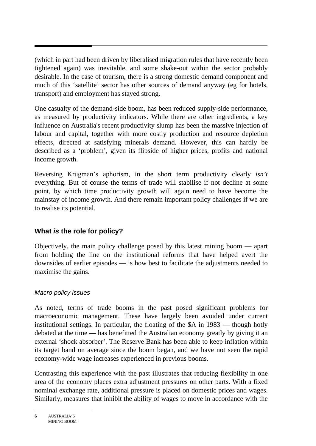(which in part had been driven by liberalised migration rules that have recently been tightened again) was inevitable, and some shake-out within the sector probably desirable. In the case of tourism, there is a strong domestic demand component and much of this 'satellite' sector has other sources of demand anyway (eg for hotels, transport) and employment has stayed strong.

One casualty of the demand-side boom, has been reduced supply-side performance, as measured by productivity indicators. While there are other ingredients, a key influence on Australia's recent productivity slump has been the massive injection of labour and capital, together with more costly production and resource depletion effects, directed at satisfying minerals demand. However, this can hardly be described as a 'problem', given its flipside of higher prices, profits and national income growth.

Reversing Krugman's aphorism, in the short term productivity clearly *isn't* everything. But of course the terms of trade will stabilise if not decline at some point, by which time productivity growth will again need to have become the mainstay of income growth. And there remain important policy challenges if we are to realise its potential.

# **What** *is* **the role for policy?**

Objectively, the main policy challenge posed by this latest mining boom — apart from holding the line on the institutional reforms that have helped avert the downsides of earlier episodes — is how best to facilitate the adjustments needed to maximise the gains.

#### *Macro policy issues*

As noted, terms of trade booms in the past posed significant problems for macroeconomic management. These have largely been avoided under current institutional settings. In particular, the floating of the \$A in 1983 — though hotly debated at the time — has benefitted the Australian economy greatly by giving it an external 'shock absorber'. The Reserve Bank has been able to keep inflation within its target band on average since the boom began, and we have not seen the rapid economy-wide wage increases experienced in previous booms.

Contrasting this experience with the past illustrates that reducing flexibility in one area of the economy places extra adjustment pressures on other parts. With a fixed nominal exchange rate, additional pressure is placed on domestic prices and wages. Similarly, measures that inhibit the ability of wages to move in accordance with the

**<sup>6</sup>** AUSTRALIA'S MINING BOOM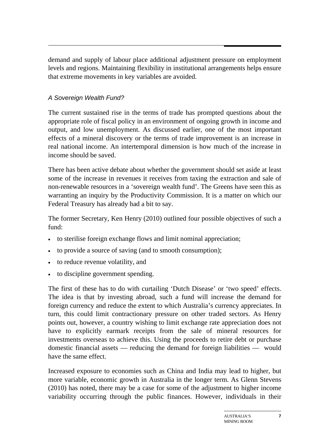demand and supply of labour place additional adjustment pressure on employment levels and regions. Maintaining flexibility in institutional arrangements helps ensure that extreme movements in key variables are avoided.

### *A Sovereign Wealth Fund?*

The current sustained rise in the terms of trade has prompted questions about the appropriate role of fiscal policy in an environment of ongoing growth in income and output, and low unemployment. As discussed earlier, one of the most important effects of a mineral discovery or the terms of trade improvement is an increase in real national income. An intertemporal dimension is how much of the increase in income should be saved.

There has been active debate about whether the government should set aside at least some of the increase in revenues it receives from taxing the extraction and sale of non-renewable resources in a 'sovereign wealth fund'. The Greens have seen this as warranting an inquiry by the Productivity Commission. It is a matter on which our Federal Treasury has already had a bit to say.

The former Secretary, Ken Henry (2010) outlined four possible objectives of such a fund:

- to sterilise foreign exchange flows and limit nominal appreciation;
- to provide a source of saving (and to smooth consumption);
- to reduce revenue volatility, and
- to discipline government spending.

The first of these has to do with curtailing 'Dutch Disease' or 'two speed' effects. The idea is that by investing abroad, such a fund will increase the demand for foreign currency and reduce the extent to which Australia's currency appreciates. In turn, this could limit contractionary pressure on other traded sectors. As Henry points out, however, a country wishing to limit exchange rate appreciation does not have to explicitly earmark receipts from the sale of mineral resources for investments overseas to achieve this. Using the proceeds to retire debt or purchase domestic financial assets — reducing the demand for foreign liabilities — would have the same effect.

Increased exposure to economies such as China and India may lead to higher, but more variable, economic growth in Australia in the longer term. As Glenn Stevens (2010) has noted, there may be a case for some of the adjustment to higher income variability occurring through the public finances. However, individuals in their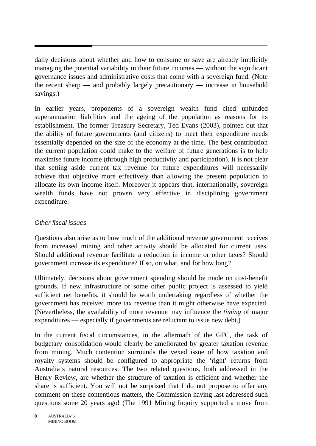daily decisions about whether and how to consume or save are already implicitly managing the potential variability in their future incomes — without the significant governance issues and administrative costs that come with a sovereign fund. (Note the recent sharp — and probably largely precautionary — increase in household savings.)

In earlier years, proponents of a sovereign wealth fund cited unfunded superannuation liabilities and the ageing of the population as reasons for its establishment. The former Treasury Secretary, Ted Evans (2003), pointed out that the ability of future governments (and citizens) to meet their expenditure needs essentially depended on the size of the economy at the time. The best contribution the current population could make to the welfare of future generations is to help maximise future income (through high productivity and participation). It is not clear that setting aside current tax revenue for future expenditures will necessarily achieve that objective more effectively than allowing the present population to allocate its own income itself. Moreover it appears that, internationally, sovereign wealth funds have not proven very effective in disciplining government expenditure.

### *Other fiscal issues*

Questions also arise as to how much of the additional revenue government receives from increased mining and other activity should be allocated for current uses. Should additional revenue facilitate a reduction in income or other taxes? Should government increase its expenditure? If so, on what, and for how long?

Ultimately, decisions about government spending should be made on cost-benefit grounds. If new infrastructure or some other public project is assessed to yield sufficient net benefits, it should be worth undertaking regardless of whether the government has received more tax revenue than it might otherwise have expected. (Nevertheless, the availability of more revenue may influence the *timing* of major expenditures — especially if governments are reluctant to issue new debt.)

In the current fiscal circumstances, in the aftermath of the GFC, the task of budgetary consolidation would clearly be ameliorated by greater taxation revenue from mining. Much contention surrounds the vexed issue of how taxation and royalty systems should be configured to appropriate the 'right' returns from Australia's natural resources. The two related questions, both addressed in the Henry Review, are whether the structure of taxation is efficient and whether the share is sufficient. You will not be surprised that I do not propose to offer any comment on these contentious matters, the Commission having last addressed such questions some 20 years ago! (The 1991 Mining Inquiry supported a move from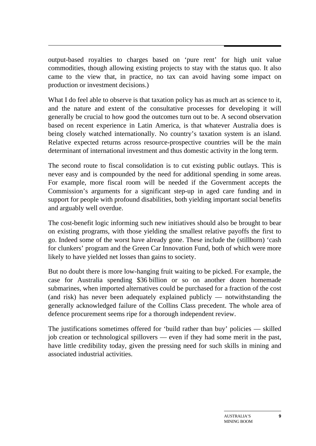output-based royalties to charges based on 'pure rent' for high unit value commodities, though allowing existing projects to stay with the status quo. It also came to the view that, in practice, no tax can avoid having some impact on production or investment decisions.)

What I do feel able to observe is that taxation policy has as much art as science to it, and the nature and extent of the consultative processes for developing it will generally be crucial to how good the outcomes turn out to be. A second observation based on recent experience in Latin America, is that whatever Australia does is being closely watched internationally. No country's taxation system is an island. Relative expected returns across resource-prospective countries will be the main determinant of international investment and thus domestic activity in the long term.

The second route to fiscal consolidation is to cut existing public outlays. This is never easy and is compounded by the need for additional spending in some areas. For example, more fiscal room will be needed if the Government accepts the Commission's arguments for a significant step-up in aged care funding and in support for people with profound disabilities, both yielding important social benefits and arguably well overdue.

The cost-benefit logic informing such new initiatives should also be brought to bear on existing programs, with those yielding the smallest relative payoffs the first to go. Indeed some of the worst have already gone. These include the (stillborn) 'cash for clunkers' program and the Green Car Innovation Fund, both of which were more likely to have yielded net losses than gains to society.

But no doubt there is more low-hanging fruit waiting to be picked. For example, the case for Australia spending \$36 billion or so on another dozen homemade submarines, when imported alternatives could be purchased for a fraction of the cost (and risk) has never been adequately explained publicly — notwithstanding the generally acknowledged failure of the Collins Class precedent. The whole area of defence procurement seems ripe for a thorough independent review.

The justifications sometimes offered for 'build rather than buy' policies — skilled job creation or technological spillovers — even if they had some merit in the past, have little credibility today, given the pressing need for such skills in mining and associated industrial activities.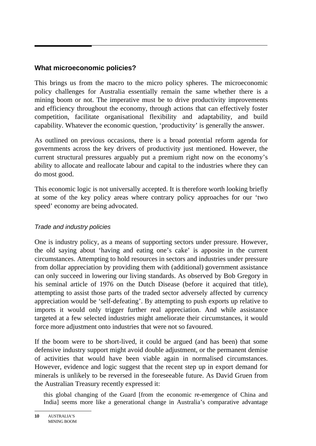#### **What microeconomic policies?**

This brings us from the macro to the micro policy spheres. The microeconomic policy challenges for Australia essentially remain the same whether there is a mining boom or not. The imperative must be to drive productivity improvements and efficiency throughout the economy, through actions that can effectively foster competition, facilitate organisational flexibility and adaptability, and build capability. Whatever the economic question, 'productivity' is generally the answer.

As outlined on previous occasions, there is a broad potential reform agenda for governments across the key drivers of productivity just mentioned. However, the current structural pressures arguably put a premium right now on the economy's ability to allocate and reallocate labour and capital to the industries where they can do most good.

This economic logic is not universally accepted. It is therefore worth looking briefly at some of the key policy areas where contrary policy approaches for our 'two speed' economy are being advocated.

#### *Trade and industry policies*

One is industry policy, as a means of supporting sectors under pressure. However, the old saying about 'having and eating one's cake' is apposite in the current circumstances. Attempting to hold resources in sectors and industries under pressure from dollar appreciation by providing them with (additional) government assistance can only succeed in lowering our living standards. As observed by Bob Gregory in his seminal article of 1976 on the Dutch Disease (before it acquired that title), attempting to assist those parts of the traded sector adversely affected by currency appreciation would be 'self-defeating'. By attempting to push exports up relative to imports it would only trigger further real appreciation. And while assistance targeted at a few selected industries might ameliorate their circumstances, it would force more adjustment onto industries that were not so favoured.

If the boom were to be short-lived, it could be argued (and has been) that some defensive industry support might avoid double adjustment, or the permanent demise of activities that would have been viable again in normalised circumstances. However, evidence and logic suggest that the recent step up in export demand for minerals is unlikely to be reversed in the foreseeable future. As David Gruen from the Australian Treasury recently expressed it:

this global changing of the Guard [from the economic re-emergence of China and India] seems more like a generational change in Australia's comparative advantage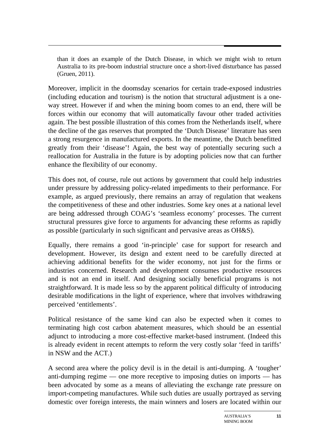than it does an example of the Dutch Disease, in which we might wish to return Australia to its pre-boom industrial structure once a short-lived disturbance has passed (Gruen, 2011).

Moreover, implicit in the doomsday scenarios for certain trade-exposed industries (including education and tourism) is the notion that structural adjustment is a oneway street. However if and when the mining boom comes to an end, there will be forces within our economy that will automatically favour other traded activities again. The best possible illustration of this comes from the Netherlands itself, where the decline of the gas reserves that prompted the 'Dutch Disease' literature has seen a strong resurgence in manufactured exports. In the meantime, the Dutch benefitted greatly from their 'disease'! Again, the best way of potentially securing such a reallocation for Australia in the future is by adopting policies now that can further enhance the flexibility of our economy.

This does not, of course, rule out actions by government that could help industries under pressure by addressing policy-related impediments to their performance. For example, as argued previously, there remains an array of regulation that weakens the competitiveness of these and other industries. Some key ones at a national level are being addressed through COAG's 'seamless economy' processes. The current structural pressures give force to arguments for advancing these reforms as rapidly as possible (particularly in such significant and pervasive areas as OH&S).

Equally, there remains a good 'in-principle' case for support for research and development. However, its design and extent need to be carefully directed at achieving additional benefits for the wider economy, not just for the firms or industries concerned. Research and development consumes productive resources and is not an end in itself. And designing socially beneficial programs is not straightforward. It is made less so by the apparent political difficulty of introducing desirable modifications in the light of experience, where that involves withdrawing perceived 'entitlements'.

Political resistance of the same kind can also be expected when it comes to terminating high cost carbon abatement measures, which should be an essential adjunct to introducing a more cost-effective market-based instrument. (Indeed this is already evident in recent attempts to reform the very costly solar 'feed in tariffs' in NSW and the ACT.)

A second area where the policy devil is in the detail is anti-dumping. A 'tougher' anti-dumping regime — one more receptive to imposing duties on imports — has been advocated by some as a means of alleviating the exchange rate pressure on import-competing manufactures. While such duties are usually portrayed as serving domestic over foreign interests, the main winners and losers are located within our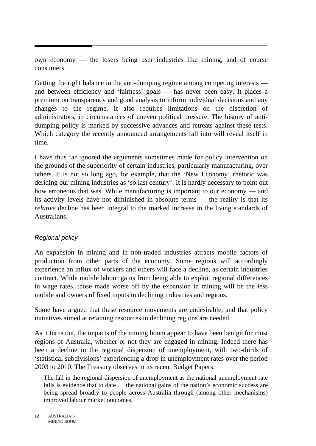own economy — the losers being user industries like mining, and of course consumers.

Getting the right balance in the anti-dumping regime among competing interests and between efficiency and 'fairness' goals — has never been easy. It places a premium on transparency and good analysis to inform individual decisions and any changes to the regime. It also requires limitations on the discretion of administrators, in circumstances of uneven political pressure. The history of antidumping policy is marked by successive advances and retreats against these tests. Which category the recently announced arrangements fall into will reveal itself in time.

I have thus far ignored the arguments sometimes made for policy intervention on the grounds of the superiority of certain industries, particularly manufacturing, over others. It is not so long ago, for example, that the 'New Economy' rhetoric was deriding our mining industries as 'so last century'. It is hardly necessary to point out how erroneous that was. While manufacturing is important to our economy — and its activity levels have not diminished in absolute terms — the reality is that its *relative* decline has been integral to the marked increase in the living standards of Australians.

#### *Regional policy*

An expansion in mining and in non-traded industries attracts mobile factors of production from other parts of the economy. Some regions will accordingly experience an influx of workers and others will face a decline, as certain industries contract. While mobile labour gains from being able to exploit regional differences in wage rates, those made worse off by the expansion in mining will be the less mobile and owners of fixed inputs in declining industries and regions.

Some have argued that these resource movements are undesirable, and that policy initiatives aimed at retaining resources in declining regions are needed.

As it turns out, the impacts of the mining boom appear to have been benign for most regions of Australia, whether or not they are engaged in mining. Indeed there has been a decline in the regional dispersion of unemployment, with two-thirds of 'statistical subdivisions' experiencing a drop in unemployment rates over the period 2003 to 2010. The Treasury observes in its recent Budget Papers:

The fall in the regional dispersion of unemployment as the national unemployment rate falls is evidence that to date ... the national gains of the nation's economic success are being spread broadly to people across Australia through (among other mechanisms) improved labour market outcomes.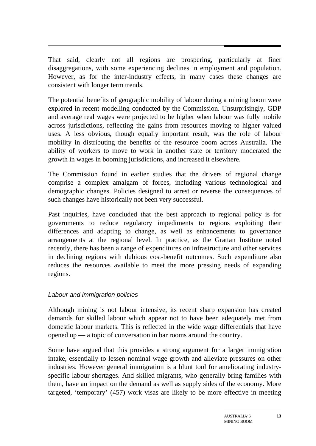That said, clearly not all regions are prospering, particularly at finer disaggregations, with some experiencing declines in employment and population. However, as for the inter-industry effects, in many cases these changes are consistent with longer term trends.

The potential benefits of geographic mobility of labour during a mining boom were explored in recent modelling conducted by the Commission. Unsurprisingly, GDP and average real wages were projected to be higher when labour was fully mobile across jurisdictions, reflecting the gains from resources moving to higher valued uses. A less obvious, though equally important result, was the role of labour mobility in distributing the benefits of the resource boom across Australia. The ability of workers to move to work in another state or territory moderated the growth in wages in booming jurisdictions, and increased it elsewhere.

The Commission found in earlier studies that the drivers of regional change comprise a complex amalgam of forces, including various technological and demographic changes. Policies designed to arrest or reverse the consequences of such changes have historically not been very successful.

Past inquiries*,* have concluded that the best approach to regional policy is for governments to reduce regulatory impediments to regions exploiting their differences and adapting to change, as well as enhancements to governance arrangements at the regional level. In practice, as the Grattan Institute noted recently, there has been a range of expenditures on infrastructure and other services in declining regions with dubious cost-benefit outcomes. Such expenditure also reduces the resources available to meet the more pressing needs of expanding regions.

#### *Labour and immigration policies*

Although mining is not labour intensive, its recent sharp expansion has created demands for skilled labour which appear not to have been adequately met from domestic labour markets. This is reflected in the wide wage differentials that have opened up — a topic of conversation in bar rooms around the country.

Some have argued that this provides a strong argument for a larger immigration intake, essentially to lessen nominal wage growth and alleviate pressures on other industries. However general immigration is a blunt tool for ameliorating industryspecific labour shortages. And skilled migrants, who generally bring families with them, have an impact on the demand as well as supply sides of the economy. More targeted, 'temporary' (457) work visas are likely to be more effective in meeting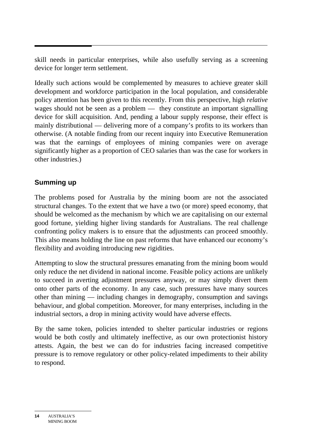skill needs in particular enterprises, while also usefully serving as a screening device for longer term settlement.

Ideally such actions would be complemented by measures to achieve greater skill development and workforce participation in the local population, and considerable policy attention has been given to this recently. From this perspective, high *relative* wages should not be seen as a problem — they constitute an important signalling device for skill acquisition. And, pending a labour supply response, their effect is mainly distributional — delivering more of a company's profits to its workers than otherwise. (A notable finding from our recent inquiry into Executive Remuneration was that the earnings of employees of mining companies were on average significantly higher as a proportion of CEO salaries than was the case for workers in other industries.)

# **Summing up**

The problems posed for Australia by the mining boom are not the associated structural changes. To the extent that we have a two (or more) speed economy, that should be welcomed as the mechanism by which we are capitalising on our external good fortune, yielding higher living standards for Australians. The real challenge confronting policy makers is to ensure that the adjustments can proceed smoothly. This also means holding the line on past reforms that have enhanced our economy's flexibility and avoiding introducing new rigidities.

Attempting to slow the structural pressures emanating from the mining boom would only reduce the net dividend in national income. Feasible policy actions are unlikely to succeed in averting adjustment pressures anyway, or may simply divert them onto other parts of the economy. In any case, such pressures have many sources other than mining — including changes in demography, consumption and savings behaviour, and global competition. Moreover, for many enterprises, including in the industrial sectors, a drop in mining activity would have adverse effects.

By the same token, policies intended to shelter particular industries or regions would be both costly and ultimately ineffective, as our own protectionist history attests. Again, the best we can do for industries facing increased competitive pressure is to remove regulatory or other policy-related impediments to their ability to respond.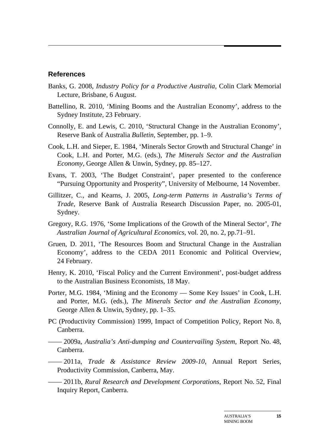#### **References**

- Banks, G. 2008, *Industry Policy for a Productive Australia*, Colin Clark Memorial Lecture, Brisbane, 6 August.
- Battellino, R. 2010, 'Mining Booms and the Australian Economy', address to the Sydney Institute, 23 February.
- Connolly, E. and Lewis, C. 2010, 'Structural Change in the Australian Economy', Reserve Bank of Australia *Bulletin*, September, pp. 1–9.
- Cook, L.H. and Sieper, E. 1984, 'Minerals Sector Growth and Structural Change' in Cook, L.H. and Porter, M.G. (eds.), *The Minerals Sector and the Australian Economy*, George Allen & Unwin, Sydney, pp. 85–127.
- Evans, T. 2003, 'The Budget Constraint', paper presented to the conference "Pursuing Opportunity and Prosperity", University of Melbourne, 14 November.
- Gillitzer, C., and Kearns, J. 2005, *Long-term Patterns in Australia's Terms of Trade*, Reserve Bank of Australia Research Discussion Paper, no. 2005-01, Sydney.
- Gregory, R.G. 1976, 'Some Implications of the Growth of the Mineral Sector', *The Australian Journal of Agricultural Economics*, vol. 20, no. 2, pp.71–91.
- Gruen, D. 2011, 'The Resources Boom and Structural Change in the Australian Economy', address to the CEDA 2011 Economic and Political Overview, 24 February.
- Henry, K. 2010, 'Fiscal Policy and the Current Environment', post-budget address to the Australian Business Economists, 18 May.
- Porter, M.G. 1984, 'Mining and the Economy Some Key Issues' in Cook, L.H. and Porter, M.G. (eds.), *The Minerals Sector and the Australian Economy*, George Allen & Unwin, Sydney, pp. 1–35.
- PC (Productivity Commission) 1999, Impact of Competition Policy, Report No. 8, Canberra.

—— 2009a, *Australia's Anti-dumping and Countervailing System*, Report No. 48, Canberra.

- —— 2011a, *Trade & Assistance Review 2009-10*, Annual Report Series, Productivity Commission, Canberra, May.
- —— 2011b, *Rural Research and Development Corporations*, Report No. 52, Final Inquiry Report, Canberra.